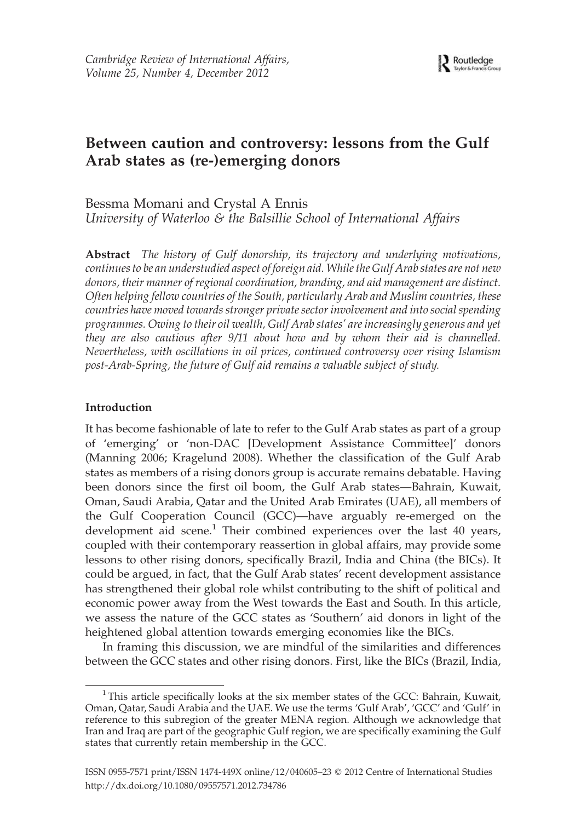# Between caution and controversy: lessons from the Gulf Arab states as (re-)emerging donors

Bessma Momani and Crystal A Ennis University of Waterloo & the Balsillie School of International Affairs

Abstract The history of Gulf donorship, its trajectory and underlying motivations, continues to be an understudied aspect of foreign aid. While the Gulf Arab states are not new donors, their manner of regional coordination, branding, and aid management are distinct. Often helping fellow countries of the South, particularly Arab and Muslim countries, these countries have moved towards stronger private sector involvement and into social spending programmes. Owing to their oil wealth, Gulf Arab states' are increasingly generous and yet they are also cautious after 9/11 about how and by whom their aid is channelled. Nevertheless, with oscillations in oil prices, continued controversy over rising Islamism post-Arab-Spring, the future of Gulf aid remains a valuable subject of study.

# Introduction

It has become fashionable of late to refer to the Gulf Arab states as part of a group of 'emerging' or 'non-DAC [Development Assistance Committee]' donors (Manning 2006; Kragelund 2008). Whether the classification of the Gulf Arab states as members of a rising donors group is accurate remains debatable. Having been donors since the first oil boom, the Gulf Arab states—Bahrain, Kuwait, Oman, Saudi Arabia, Qatar and the United Arab Emirates (UAE), all members of the Gulf Cooperation Council (GCC)—have arguably re-emerged on the development aid scene.<sup>1</sup> Their combined experiences over the last 40 years, coupled with their contemporary reassertion in global affairs, may provide some lessons to other rising donors, specifically Brazil, India and China (the BICs). It could be argued, in fact, that the Gulf Arab states' recent development assistance has strengthened their global role whilst contributing to the shift of political and economic power away from the West towards the East and South. In this article, we assess the nature of the GCC states as 'Southern' aid donors in light of the heightened global attention towards emerging economies like the BICs.

In framing this discussion, we are mindful of the similarities and differences between the GCC states and other rising donors. First, like the BICs (Brazil, India,

<sup>&</sup>lt;sup>1</sup> This article specifically looks at the six member states of the GCC: Bahrain, Kuwait, Oman, Qatar, Saudi Arabia and the UAE. We use the terms 'Gulf Arab', 'GCC' and 'Gulf' in reference to this subregion of the greater MENA region. Although we acknowledge that Iran and Iraq are part of the geographic Gulf region, we are specifically examining the Gulf states that currently retain membership in the GCC.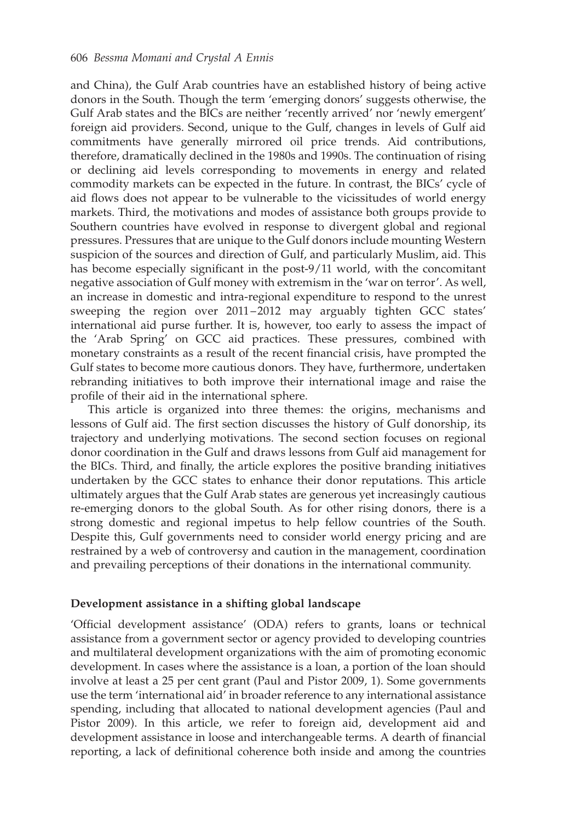and China), the Gulf Arab countries have an established history of being active donors in the South. Though the term 'emerging donors' suggests otherwise, the Gulf Arab states and the BICs are neither 'recently arrived' nor 'newly emergent' foreign aid providers. Second, unique to the Gulf, changes in levels of Gulf aid commitments have generally mirrored oil price trends. Aid contributions, therefore, dramatically declined in the 1980s and 1990s. The continuation of rising or declining aid levels corresponding to movements in energy and related commodity markets can be expected in the future. In contrast, the BICs' cycle of aid flows does not appear to be vulnerable to the vicissitudes of world energy markets. Third, the motivations and modes of assistance both groups provide to Southern countries have evolved in response to divergent global and regional pressures. Pressures that are unique to the Gulf donors include mounting Western suspicion of the sources and direction of Gulf, and particularly Muslim, aid. This has become especially significant in the post-9/11 world, with the concomitant negative association of Gulf money with extremism in the 'war on terror'. As well, an increase in domestic and intra-regional expenditure to respond to the unrest sweeping the region over 2011–2012 may arguably tighten GCC states' international aid purse further. It is, however, too early to assess the impact of the 'Arab Spring' on GCC aid practices. These pressures, combined with monetary constraints as a result of the recent financial crisis, have prompted the Gulf states to become more cautious donors. They have, furthermore, undertaken rebranding initiatives to both improve their international image and raise the profile of their aid in the international sphere.

This article is organized into three themes: the origins, mechanisms and lessons of Gulf aid. The first section discusses the history of Gulf donorship, its trajectory and underlying motivations. The second section focuses on regional donor coordination in the Gulf and draws lessons from Gulf aid management for the BICs. Third, and finally, the article explores the positive branding initiatives undertaken by the GCC states to enhance their donor reputations. This article ultimately argues that the Gulf Arab states are generous yet increasingly cautious re-emerging donors to the global South. As for other rising donors, there is a strong domestic and regional impetus to help fellow countries of the South. Despite this, Gulf governments need to consider world energy pricing and are restrained by a web of controversy and caution in the management, coordination and prevailing perceptions of their donations in the international community.

## Development assistance in a shifting global landscape

'Official development assistance' (ODA) refers to grants, loans or technical assistance from a government sector or agency provided to developing countries and multilateral development organizations with the aim of promoting economic development. In cases where the assistance is a loan, a portion of the loan should involve at least a 25 per cent grant (Paul and Pistor 2009, 1). Some governments use the term 'international aid' in broader reference to any international assistance spending, including that allocated to national development agencies (Paul and Pistor 2009). In this article, we refer to foreign aid, development aid and development assistance in loose and interchangeable terms. A dearth of financial reporting, a lack of definitional coherence both inside and among the countries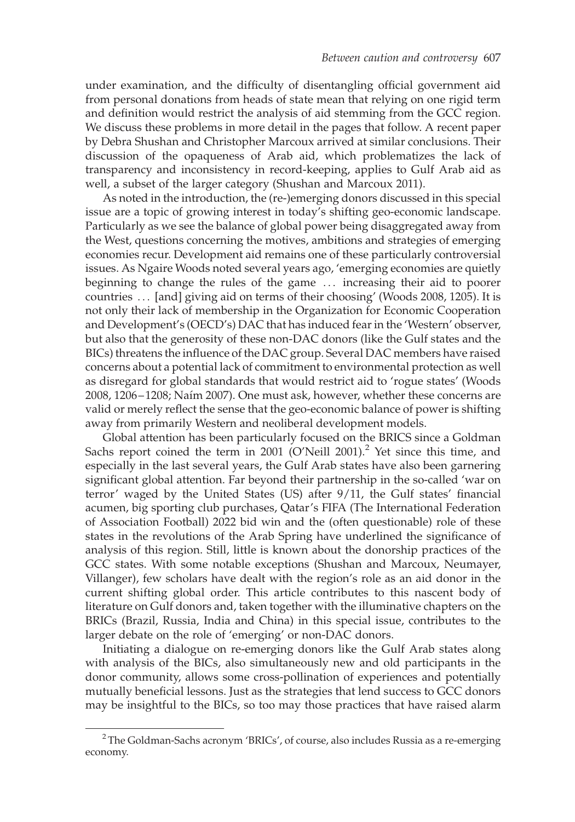under examination, and the difficulty of disentangling official government aid from personal donations from heads of state mean that relying on one rigid term and definition would restrict the analysis of aid stemming from the GCC region. We discuss these problems in more detail in the pages that follow. A recent paper by Debra Shushan and Christopher Marcoux arrived at similar conclusions. Their discussion of the opaqueness of Arab aid, which problematizes the lack of transparency and inconsistency in record-keeping, applies to Gulf Arab aid as well, a subset of the larger category (Shushan and Marcoux 2011).

As noted in the introduction, the (re-)emerging donors discussed in this special issue are a topic of growing interest in today's shifting geo-economic landscape. Particularly as we see the balance of global power being disaggregated away from the West, questions concerning the motives, ambitions and strategies of emerging economies recur. Development aid remains one of these particularly controversial issues. As Ngaire Woods noted several years ago, 'emerging economies are quietly beginning to change the rules of the game ... increasing their aid to poorer countries ... [and] giving aid on terms of their choosing' (Woods 2008, 1205). It is not only their lack of membership in the Organization for Economic Cooperation and Development's (OECD's) DAC that has induced fear in the 'Western' observer, but also that the generosity of these non-DAC donors (like the Gulf states and the BICs) threatens the influence of the DAC group. Several DAC members have raised concerns about a potential lack of commitment to environmental protection as well as disregard for global standards that would restrict aid to 'rogue states' (Woods 2008, 1206–1208; Naı´m 2007). One must ask, however, whether these concerns are valid or merely reflect the sense that the geo-economic balance of power is shifting away from primarily Western and neoliberal development models.

Global attention has been particularly focused on the BRICS since a Goldman Sachs report coined the term in 2001 (O'Neill 2001).<sup>2</sup> Yet since this time, and especially in the last several years, the Gulf Arab states have also been garnering significant global attention. Far beyond their partnership in the so-called 'war on terror' waged by the United States (US) after 9/11, the Gulf states' financial acumen, big sporting club purchases, Qatar's FIFA (The International Federation of Association Football) 2022 bid win and the (often questionable) role of these states in the revolutions of the Arab Spring have underlined the significance of analysis of this region. Still, little is known about the donorship practices of the GCC states. With some notable exceptions (Shushan and Marcoux, Neumayer, Villanger), few scholars have dealt with the region's role as an aid donor in the current shifting global order. This article contributes to this nascent body of literature on Gulf donors and, taken together with the illuminative chapters on the BRICs (Brazil, Russia, India and China) in this special issue, contributes to the larger debate on the role of 'emerging' or non-DAC donors.

Initiating a dialogue on re-emerging donors like the Gulf Arab states along with analysis of the BICs, also simultaneously new and old participants in the donor community, allows some cross-pollination of experiences and potentially mutually beneficial lessons. Just as the strategies that lend success to GCC donors may be insightful to the BICs, so too may those practices that have raised alarm

 $2$  The Goldman-Sachs acronym 'BRICs', of course, also includes Russia as a re-emerging economy.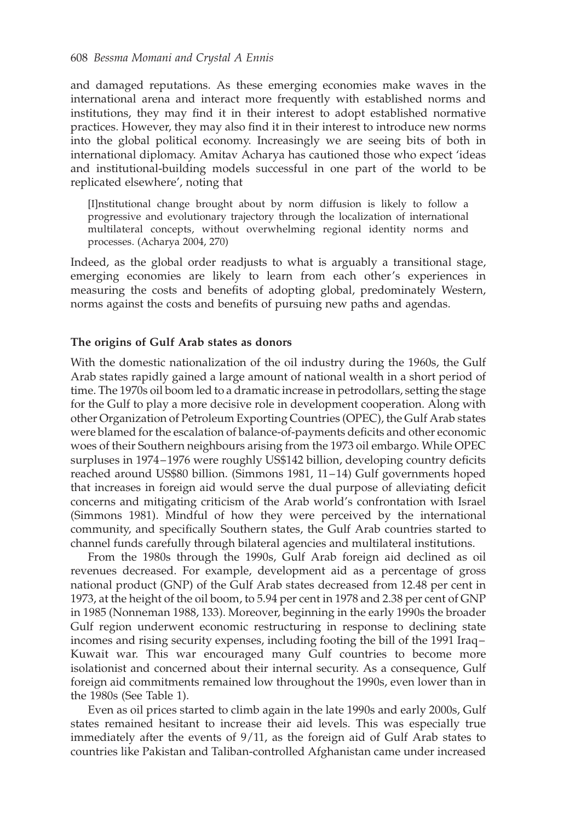#### 608 Bessma Momani and Crystal A Ennis

and damaged reputations. As these emerging economies make waves in the international arena and interact more frequently with established norms and institutions, they may find it in their interest to adopt established normative practices. However, they may also find it in their interest to introduce new norms into the global political economy. Increasingly we are seeing bits of both in international diplomacy. Amitav Acharya has cautioned those who expect 'ideas and institutional-building models successful in one part of the world to be replicated elsewhere', noting that

[I]nstitutional change brought about by norm diffusion is likely to follow a progressive and evolutionary trajectory through the localization of international multilateral concepts, without overwhelming regional identity norms and processes. (Acharya 2004, 270)

Indeed, as the global order readjusts to what is arguably a transitional stage, emerging economies are likely to learn from each other's experiences in measuring the costs and benefits of adopting global, predominately Western, norms against the costs and benefits of pursuing new paths and agendas.

## The origins of Gulf Arab states as donors

With the domestic nationalization of the oil industry during the 1960s, the Gulf Arab states rapidly gained a large amount of national wealth in a short period of time. The 1970s oil boom led to a dramatic increase in petrodollars, setting the stage for the Gulf to play a more decisive role in development cooperation. Along with other Organization of Petroleum Exporting Countries (OPEC), the Gulf Arab states were blamed for the escalation of balance-of-payments deficits and other economic woes of their Southern neighbours arising from the 1973 oil embargo. While OPEC surpluses in 1974–1976 were roughly US\$142 billion, developing country deficits reached around US\$80 billion. (Simmons 1981, 11–14) Gulf governments hoped that increases in foreign aid would serve the dual purpose of alleviating deficit concerns and mitigating criticism of the Arab world's confrontation with Israel (Simmons 1981). Mindful of how they were perceived by the international community, and specifically Southern states, the Gulf Arab countries started to channel funds carefully through bilateral agencies and multilateral institutions.

From the 1980s through the 1990s, Gulf Arab foreign aid declined as oil revenues decreased. For example, development aid as a percentage of gross national product (GNP) of the Gulf Arab states decreased from 12.48 per cent in 1973, at the height of the oil boom, to 5.94 per cent in 1978 and 2.38 per cent of GNP in 1985 (Nonneman 1988, 133). Moreover, beginning in the early 1990s the broader Gulf region underwent economic restructuring in response to declining state incomes and rising security expenses, including footing the bill of the 1991 Iraq– Kuwait war. This war encouraged many Gulf countries to become more isolationist and concerned about their internal security. As a consequence, Gulf foreign aid commitments remained low throughout the 1990s, even lower than in the 1980s (See Table 1).

Even as oil prices started to climb again in the late 1990s and early 2000s, Gulf states remained hesitant to increase their aid levels. This was especially true immediately after the events of 9/11, as the foreign aid of Gulf Arab states to countries like Pakistan and Taliban-controlled Afghanistan came under increased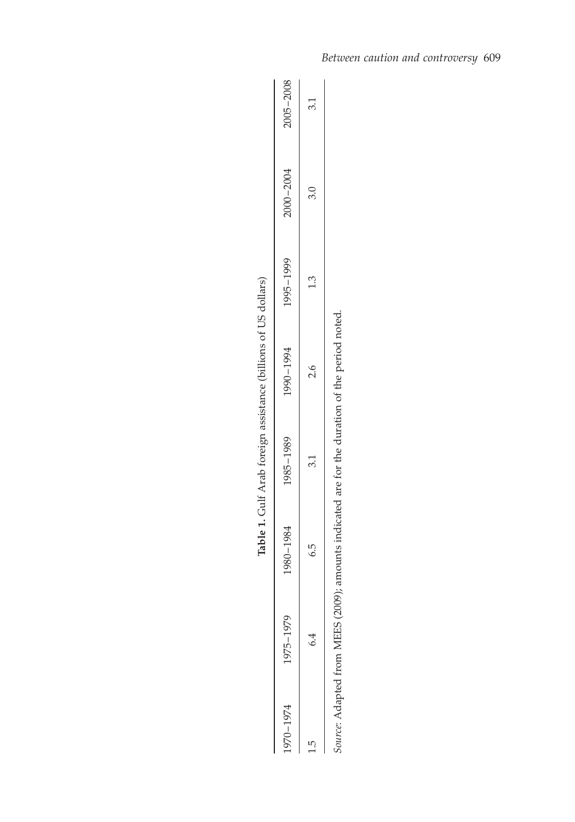|                                                                | $2005 - 2008$    | 3.1 |
|----------------------------------------------------------------|------------------|-----|
|                                                                | 2000-2004        | 3.0 |
|                                                                | 1995-1999        | 13  |
|                                                                | <b>F661-0661</b> | 9.6 |
| Table 1. Gulf Arab foreign assistance (billions of US dollars) | 1985-1989        | 3.1 |
|                                                                | 1980-1984        | 59  |
|                                                                | 1975-1979        |     |
|                                                                | +261-026.        |     |

Source: Adapted from MEES (2009); amounts indicated are for the duration of the period noted.

Source: Adapted from MEES (2009); amounts indicated are for the duration of the period noted.

Between caution and controversy 609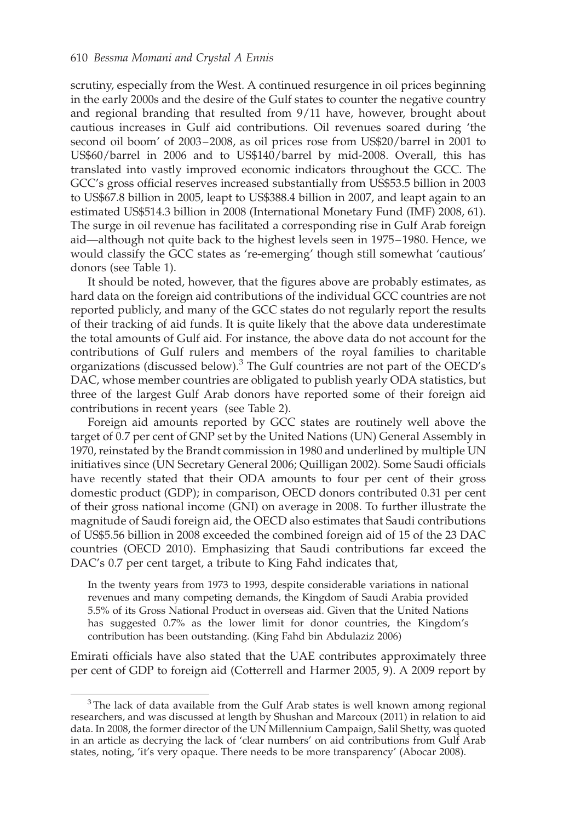scrutiny, especially from the West. A continued resurgence in oil prices beginning in the early 2000s and the desire of the Gulf states to counter the negative country and regional branding that resulted from 9/11 have, however, brought about cautious increases in Gulf aid contributions. Oil revenues soared during 'the second oil boom' of 2003–2008, as oil prices rose from US\$20/barrel in 2001 to US\$60/barrel in 2006 and to US\$140/barrel by mid-2008. Overall, this has translated into vastly improved economic indicators throughout the GCC. The GCC's gross official reserves increased substantially from US\$53.5 billion in 2003 to US\$67.8 billion in 2005, leapt to US\$388.4 billion in 2007, and leapt again to an estimated US\$514.3 billion in 2008 (International Monetary Fund (IMF) 2008, 61). The surge in oil revenue has facilitated a corresponding rise in Gulf Arab foreign aid—although not quite back to the highest levels seen in 1975–1980. Hence, we would classify the GCC states as 're-emerging' though still somewhat 'cautious' donors (see Table 1).

It should be noted, however, that the figures above are probably estimates, as hard data on the foreign aid contributions of the individual GCC countries are not reported publicly, and many of the GCC states do not regularly report the results of their tracking of aid funds. It is quite likely that the above data underestimate the total amounts of Gulf aid. For instance, the above data do not account for the contributions of Gulf rulers and members of the royal families to charitable organizations (discussed below).<sup>3</sup> The Gulf countries are not part of the OECD's DAC, whose member countries are obligated to publish yearly ODA statistics, but three of the largest Gulf Arab donors have reported some of their foreign aid contributions in recent years (see Table 2).

Foreign aid amounts reported by GCC states are routinely well above the target of 0.7 per cent of GNP set by the United Nations (UN) General Assembly in 1970, reinstated by the Brandt commission in 1980 and underlined by multiple UN initiatives since (UN Secretary General 2006; Quilligan 2002). Some Saudi officials have recently stated that their ODA amounts to four per cent of their gross domestic product (GDP); in comparison, OECD donors contributed 0.31 per cent of their gross national income (GNI) on average in 2008. To further illustrate the magnitude of Saudi foreign aid, the OECD also estimates that Saudi contributions of US\$5.56 billion in 2008 exceeded the combined foreign aid of 15 of the 23 DAC countries (OECD 2010). Emphasizing that Saudi contributions far exceed the DAC's 0.7 per cent target, a tribute to King Fahd indicates that,

In the twenty years from 1973 to 1993, despite considerable variations in national revenues and many competing demands, the Kingdom of Saudi Arabia provided 5.5% of its Gross National Product in overseas aid. Given that the United Nations has suggested 0.7% as the lower limit for donor countries, the Kingdom's contribution has been outstanding. (King Fahd bin Abdulaziz 2006)

Emirati officials have also stated that the UAE contributes approximately three per cent of GDP to foreign aid (Cotterrell and Harmer 2005, 9). A 2009 report by

 $3$ The lack of data available from the Gulf Arab states is well known among regional researchers, and was discussed at length by Shushan and Marcoux (2011) in relation to aid data. In 2008, the former director of the UN Millennium Campaign, Salil Shetty, was quoted in an article as decrying the lack of 'clear numbers' on aid contributions from Gulf Arab states, noting, 'it's very opaque. There needs to be more transparency' (Abocar 2008).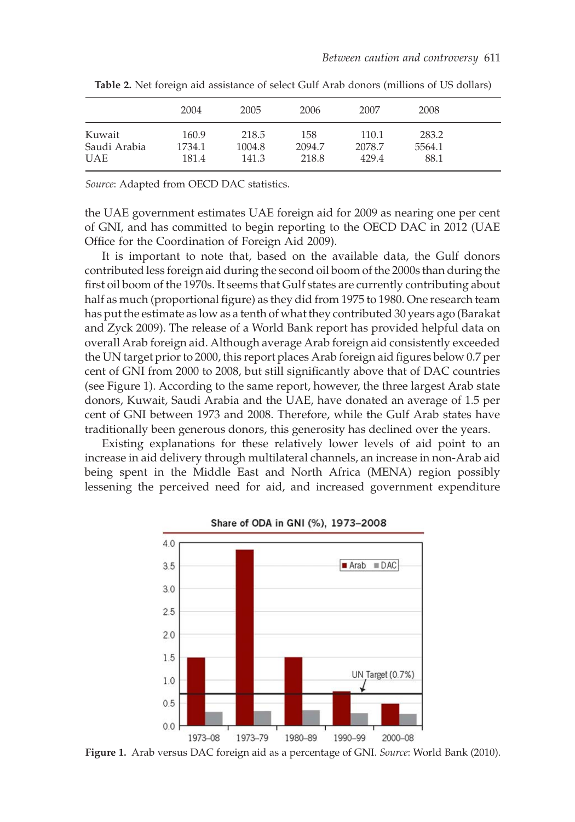|              | 2004   | 2005   | 2006   | 2007   | 2008   |  |
|--------------|--------|--------|--------|--------|--------|--|
| Kuwait       | 160.9  | 218.5  | 158    | 110.1  | 283.2  |  |
| Saudi Arabia | 1734.1 | 1004.8 | 2094.7 | 2078.7 | 5564.1 |  |
| <b>UAE</b>   | 181.4  | 141.3  | 218.8  | 429.4  | 88.1   |  |

Table 2. Net foreign aid assistance of select Gulf Arab donors (millions of US dollars)

Source: Adapted from OECD DAC statistics.

the UAE government estimates UAE foreign aid for 2009 as nearing one per cent of GNI, and has committed to begin reporting to the OECD DAC in 2012 (UAE Office for the Coordination of Foreign Aid 2009).

It is important to note that, based on the available data, the Gulf donors contributed less foreign aid during the second oil boom of the 2000s than during the first oil boom of the 1970s. It seems that Gulf states are currently contributing about half as much (proportional figure) as they did from 1975 to 1980. One research team has put the estimate as low as a tenth of what they contributed 30 years ago (Barakat and Zyck 2009). The release of a World Bank report has provided helpful data on overall Arab foreign aid. Although average Arab foreign aid consistently exceeded the UN target prior to 2000, this report places Arab foreign aid figures below 0.7 per cent of GNI from 2000 to 2008, but still significantly above that of DAC countries (see Figure 1). According to the same report, however, the three largest Arab state donors, Kuwait, Saudi Arabia and the UAE, have donated an average of 1.5 per cent of GNI between 1973 and 2008. Therefore, while the Gulf Arab states have traditionally been generous donors, this generosity has declined over the years.

Existing explanations for these relatively lower levels of aid point to an increase in aid delivery through multilateral channels, an increase in non-Arab aid being spent in the Middle East and North Africa (MENA) region possibly lessening the perceived need for aid, and increased government expenditure



Share of ODA in GNI (%), 1973-2008

Figure 1. Arab versus DAC foreign aid as a percentage of GNI. Source: World Bank (2010).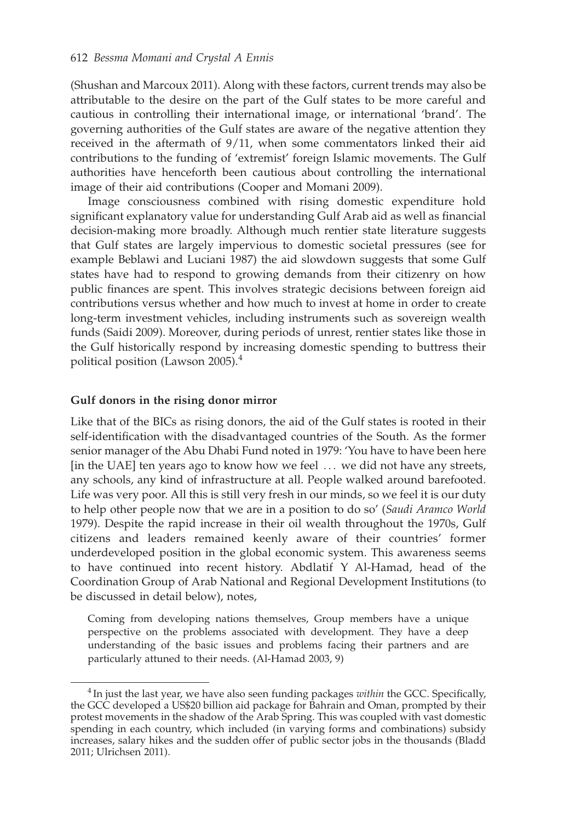(Shushan and Marcoux 2011). Along with these factors, current trends may also be attributable to the desire on the part of the Gulf states to be more careful and cautious in controlling their international image, or international 'brand'. The governing authorities of the Gulf states are aware of the negative attention they received in the aftermath of 9/11, when some commentators linked their aid contributions to the funding of 'extremist' foreign Islamic movements. The Gulf authorities have henceforth been cautious about controlling the international image of their aid contributions (Cooper and Momani 2009).

Image consciousness combined with rising domestic expenditure hold significant explanatory value for understanding Gulf Arab aid as well as financial decision-making more broadly. Although much rentier state literature suggests that Gulf states are largely impervious to domestic societal pressures (see for example Beblawi and Luciani 1987) the aid slowdown suggests that some Gulf states have had to respond to growing demands from their citizenry on how public finances are spent. This involves strategic decisions between foreign aid contributions versus whether and how much to invest at home in order to create long-term investment vehicles, including instruments such as sovereign wealth funds (Saidi 2009). Moreover, during periods of unrest, rentier states like those in the Gulf historically respond by increasing domestic spending to buttress their political position (Lawson 2005).<sup>4</sup>

## Gulf donors in the rising donor mirror

Like that of the BICs as rising donors, the aid of the Gulf states is rooted in their self-identification with the disadvantaged countries of the South. As the former senior manager of the Abu Dhabi Fund noted in 1979: 'You have to have been here [in the UAE] ten years ago to know how we feel ... we did not have any streets, any schools, any kind of infrastructure at all. People walked around barefooted. Life was very poor. All this is still very fresh in our minds, so we feel it is our duty to help other people now that we are in a position to do so' (Saudi Aramco World 1979). Despite the rapid increase in their oil wealth throughout the 1970s, Gulf citizens and leaders remained keenly aware of their countries' former underdeveloped position in the global economic system. This awareness seems to have continued into recent history. Abdlatif Y Al-Hamad, head of the Coordination Group of Arab National and Regional Development Institutions (to be discussed in detail below), notes,

Coming from developing nations themselves, Group members have a unique perspective on the problems associated with development. They have a deep understanding of the basic issues and problems facing their partners and are particularly attuned to their needs. (Al-Hamad 2003, 9)

 $<sup>4</sup>$  In just the last year, we have also seen funding packages within the GCC. Specifically,</sup> the GCC developed a US\$20 billion aid package for Bahrain and Oman, prompted by their protest movements in the shadow of the Arab Spring. This was coupled with vast domestic spending in each country, which included (in varying forms and combinations) subsidy increases, salary hikes and the sudden offer of public sector jobs in the thousands (Bladd 2011; Ulrichsen 2011).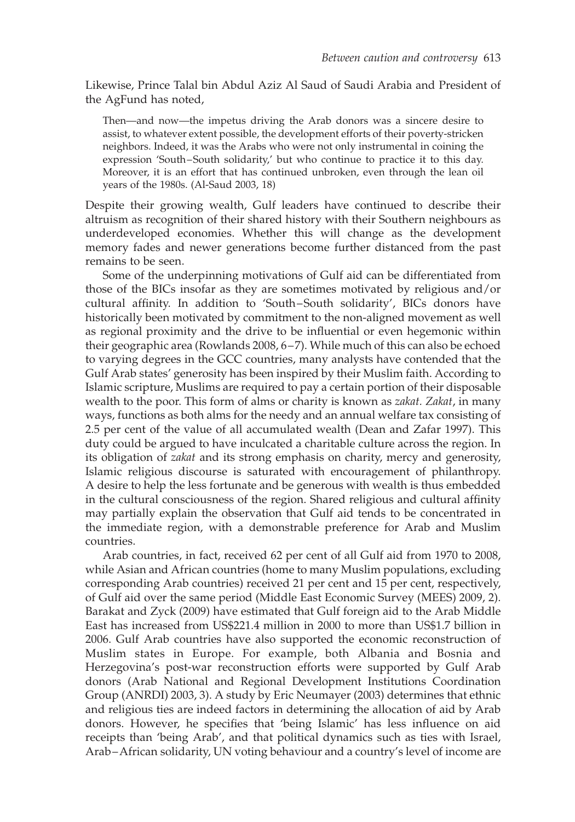Likewise, Prince Talal bin Abdul Aziz Al Saud of Saudi Arabia and President of the AgFund has noted,

Then—and now—the impetus driving the Arab donors was a sincere desire to assist, to whatever extent possible, the development efforts of their poverty-stricken neighbors. Indeed, it was the Arabs who were not only instrumental in coining the expression 'South–South solidarity,' but who continue to practice it to this day. Moreover, it is an effort that has continued unbroken, even through the lean oil years of the 1980s. (Al-Saud 2003, 18)

Despite their growing wealth, Gulf leaders have continued to describe their altruism as recognition of their shared history with their Southern neighbours as underdeveloped economies. Whether this will change as the development memory fades and newer generations become further distanced from the past remains to be seen.

Some of the underpinning motivations of Gulf aid can be differentiated from those of the BICs insofar as they are sometimes motivated by religious and/or cultural affinity. In addition to 'South–South solidarity', BICs donors have historically been motivated by commitment to the non-aligned movement as well as regional proximity and the drive to be influential or even hegemonic within their geographic area (Rowlands 2008, 6–7). While much of this can also be echoed to varying degrees in the GCC countries, many analysts have contended that the Gulf Arab states' generosity has been inspired by their Muslim faith. According to Islamic scripture, Muslims are required to pay a certain portion of their disposable wealth to the poor. This form of alms or charity is known as zakat. Zakat, in many ways, functions as both alms for the needy and an annual welfare tax consisting of 2.5 per cent of the value of all accumulated wealth (Dean and Zafar 1997). This duty could be argued to have inculcated a charitable culture across the region. In its obligation of zakat and its strong emphasis on charity, mercy and generosity, Islamic religious discourse is saturated with encouragement of philanthropy. A desire to help the less fortunate and be generous with wealth is thus embedded in the cultural consciousness of the region. Shared religious and cultural affinity may partially explain the observation that Gulf aid tends to be concentrated in the immediate region, with a demonstrable preference for Arab and Muslim countries.

Arab countries, in fact, received 62 per cent of all Gulf aid from 1970 to 2008, while Asian and African countries (home to many Muslim populations, excluding corresponding Arab countries) received 21 per cent and 15 per cent, respectively, of Gulf aid over the same period (Middle East Economic Survey (MEES) 2009, 2). Barakat and Zyck (2009) have estimated that Gulf foreign aid to the Arab Middle East has increased from US\$221.4 million in 2000 to more than US\$1.7 billion in 2006. Gulf Arab countries have also supported the economic reconstruction of Muslim states in Europe. For example, both Albania and Bosnia and Herzegovina's post-war reconstruction efforts were supported by Gulf Arab donors (Arab National and Regional Development Institutions Coordination Group (ANRDI) 2003, 3). A study by Eric Neumayer (2003) determines that ethnic and religious ties are indeed factors in determining the allocation of aid by Arab donors. However, he specifies that 'being Islamic' has less influence on aid receipts than 'being Arab', and that political dynamics such as ties with Israel, Arab–African solidarity, UN voting behaviour and a country's level of income are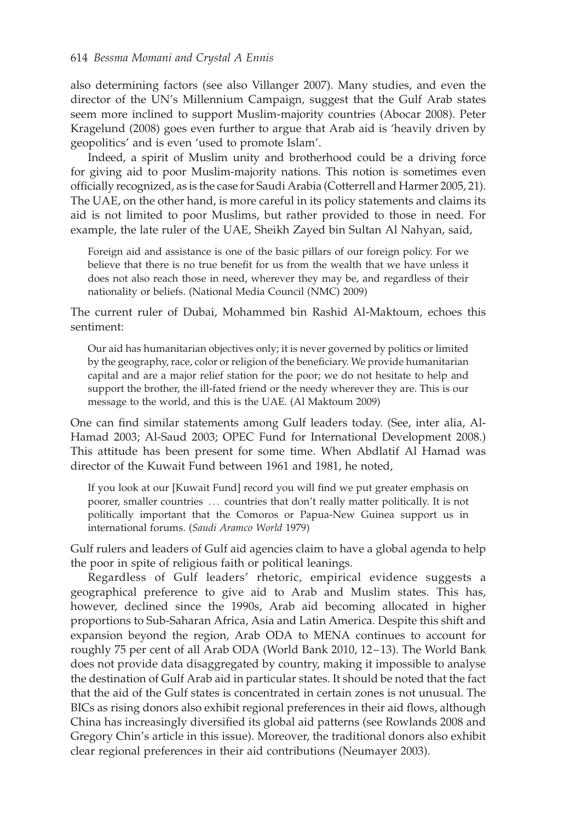#### 614 Bessma Momani and Crystal A Ennis

also determining factors (see also Villanger 2007). Many studies, and even the director of the UN's Millennium Campaign, suggest that the Gulf Arab states seem more inclined to support Muslim-majority countries (Abocar 2008). Peter Kragelund (2008) goes even further to argue that Arab aid is 'heavily driven by geopolitics' and is even 'used to promote Islam'.

Indeed, a spirit of Muslim unity and brotherhood could be a driving force for giving aid to poor Muslim-majority nations. This notion is sometimes even officially recognized, as is the case for Saudi Arabia (Cotterrell and Harmer 2005, 21). The UAE, on the other hand, is more careful in its policy statements and claims its aid is not limited to poor Muslims, but rather provided to those in need. For example, the late ruler of the UAE, Sheikh Zayed bin Sultan Al Nahyan, said,

Foreign aid and assistance is one of the basic pillars of our foreign policy. For we believe that there is no true benefit for us from the wealth that we have unless it does not also reach those in need, wherever they may be, and regardless of their nationality or beliefs. (National Media Council (NMC) 2009)

The current ruler of Dubai, Mohammed bin Rashid Al-Maktoum, echoes this sentiment:

Our aid has humanitarian objectives only; it is never governed by politics or limited by the geography, race, color or religion of the beneficiary. We provide humanitarian capital and are a major relief station for the poor; we do not hesitate to help and support the brother, the ill-fated friend or the needy wherever they are. This is our message to the world, and this is the UAE. (Al Maktoum 2009)

One can find similar statements among Gulf leaders today. (See, inter alia, Al-Hamad 2003; Al-Saud 2003; OPEC Fund for International Development 2008.) This attitude has been present for some time. When Abdlatif Al Hamad was director of the Kuwait Fund between 1961 and 1981, he noted,

If you look at our [Kuwait Fund] record you will find we put greater emphasis on poorer, smaller countries ... countries that don't really matter politically. It is not politically important that the Comoros or Papua-New Guinea support us in international forums. (Saudi Aramco World 1979)

Gulf rulers and leaders of Gulf aid agencies claim to have a global agenda to help the poor in spite of religious faith or political leanings.

Regardless of Gulf leaders' rhetoric, empirical evidence suggests a geographical preference to give aid to Arab and Muslim states. This has, however, declined since the 1990s, Arab aid becoming allocated in higher proportions to Sub-Saharan Africa, Asia and Latin America. Despite this shift and expansion beyond the region, Arab ODA to MENA continues to account for roughly 75 per cent of all Arab ODA (World Bank 2010, 12–13). The World Bank does not provide data disaggregated by country, making it impossible to analyse the destination of Gulf Arab aid in particular states. It should be noted that the fact that the aid of the Gulf states is concentrated in certain zones is not unusual. The BICs as rising donors also exhibit regional preferences in their aid flows, although China has increasingly diversified its global aid patterns (see Rowlands 2008 and Gregory Chin's article in this issue). Moreover, the traditional donors also exhibit clear regional preferences in their aid contributions (Neumayer 2003).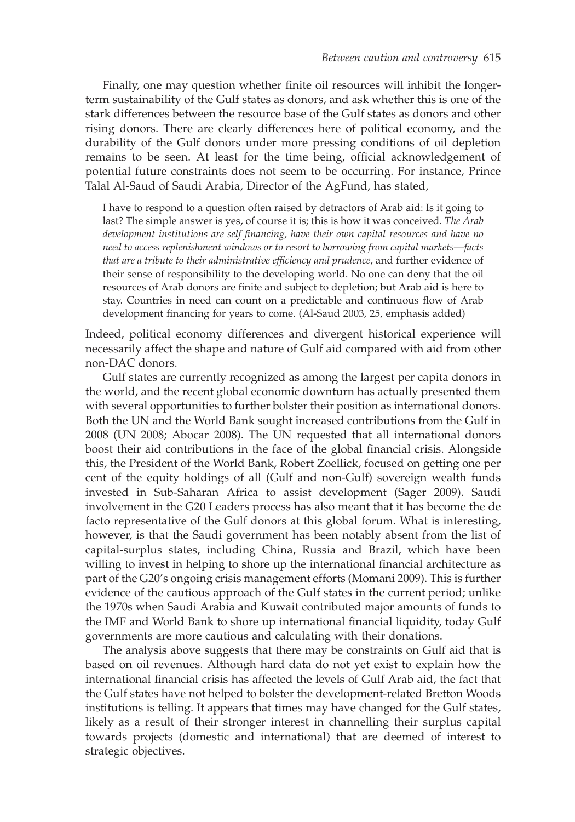Finally, one may question whether finite oil resources will inhibit the longerterm sustainability of the Gulf states as donors, and ask whether this is one of the stark differences between the resource base of the Gulf states as donors and other rising donors. There are clearly differences here of political economy, and the durability of the Gulf donors under more pressing conditions of oil depletion remains to be seen. At least for the time being, official acknowledgement of potential future constraints does not seem to be occurring. For instance, Prince Talal Al-Saud of Saudi Arabia, Director of the AgFund, has stated,

I have to respond to a question often raised by detractors of Arab aid: Is it going to last? The simple answer is yes, of course it is; this is how it was conceived. The Arab development institutions are self financing, have their own capital resources and have no need to access replenishment windows or to resort to borrowing from capital markets—facts that are a tribute to their administrative efficiency and prudence, and further evidence of their sense of responsibility to the developing world. No one can deny that the oil resources of Arab donors are finite and subject to depletion; but Arab aid is here to stay. Countries in need can count on a predictable and continuous flow of Arab development financing for years to come. (Al-Saud 2003, 25, emphasis added)

Indeed, political economy differences and divergent historical experience will necessarily affect the shape and nature of Gulf aid compared with aid from other non-DAC donors.

Gulf states are currently recognized as among the largest per capita donors in the world, and the recent global economic downturn has actually presented them with several opportunities to further bolster their position as international donors. Both the UN and the World Bank sought increased contributions from the Gulf in 2008 (UN 2008; Abocar 2008). The UN requested that all international donors boost their aid contributions in the face of the global financial crisis. Alongside this, the President of the World Bank, Robert Zoellick, focused on getting one per cent of the equity holdings of all (Gulf and non-Gulf) sovereign wealth funds invested in Sub-Saharan Africa to assist development (Sager 2009). Saudi involvement in the G20 Leaders process has also meant that it has become the de facto representative of the Gulf donors at this global forum. What is interesting, however, is that the Saudi government has been notably absent from the list of capital-surplus states, including China, Russia and Brazil, which have been willing to invest in helping to shore up the international financial architecture as part of the G20's ongoing crisis management efforts (Momani 2009). This is further evidence of the cautious approach of the Gulf states in the current period; unlike the 1970s when Saudi Arabia and Kuwait contributed major amounts of funds to the IMF and World Bank to shore up international financial liquidity, today Gulf governments are more cautious and calculating with their donations.

The analysis above suggests that there may be constraints on Gulf aid that is based on oil revenues. Although hard data do not yet exist to explain how the international financial crisis has affected the levels of Gulf Arab aid, the fact that the Gulf states have not helped to bolster the development-related Bretton Woods institutions is telling. It appears that times may have changed for the Gulf states, likely as a result of their stronger interest in channelling their surplus capital towards projects (domestic and international) that are deemed of interest to strategic objectives.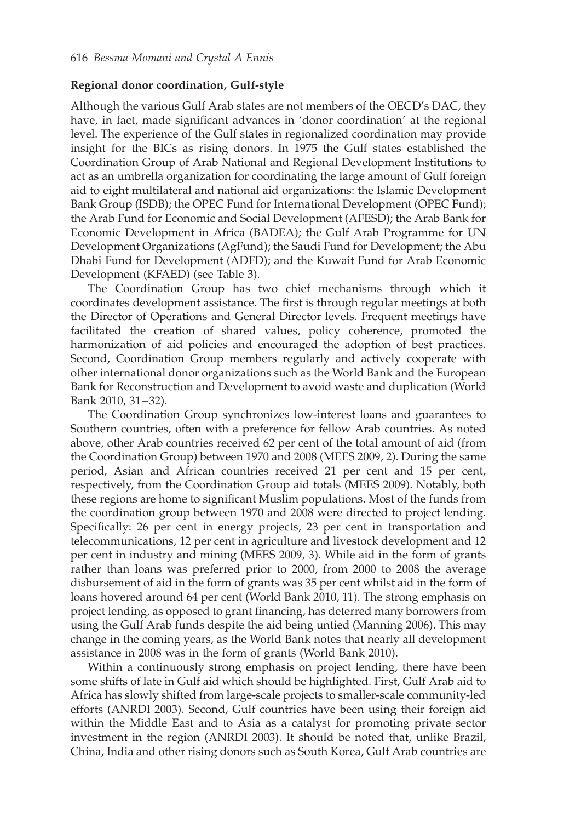#### Regional donor coordination, Gulf-style

Although the various Gulf Arab states are not members of the OECD's DAC, they have, in fact, made significant advances in 'donor coordination' at the regional level. The experience of the Gulf states in regionalized coordination may provide insight for the BICs as rising donors. In 1975 the Gulf states established the Coordination Group of Arab National and Regional Development Institutions to act as an umbrella organization for coordinating the large amount of Gulf foreign aid to eight multilateral and national aid organizations: the Islamic Development Bank Group (ISDB); the OPEC Fund for International Development (OPEC Fund); the Arab Fund for Economic and Social Development (AFESD); the Arab Bank for Economic Development in Africa (BADEA); the Gulf Arab Programme for UN Development Organizations (AgFund); the Saudi Fund for Development; the Abu Dhabi Fund for Development (ADFD); and the Kuwait Fund for Arab Economic Development (KFAED) (see Table 3).

The Coordination Group has two chief mechanisms through which it coordinates development assistance. The first is through regular meetings at both the Director of Operations and General Director levels. Frequent meetings have facilitated the creation of shared values, policy coherence, promoted the harmonization of aid policies and encouraged the adoption of best practices. Second, Coordination Group members regularly and actively cooperate with other international donor organizations such as the World Bank and the European Bank for Reconstruction and Development to avoid waste and duplication (World Bank 2010, 31–32).

The Coordination Group synchronizes low-interest loans and guarantees to Southern countries, often with a preference for fellow Arab countries. As noted above, other Arab countries received 62 per cent of the total amount of aid (from the Coordination Group) between 1970 and 2008 (MEES 2009, 2). During the same period, Asian and African countries received 21 per cent and 15 per cent, respectively, from the Coordination Group aid totals (MEES 2009). Notably, both these regions are home to significant Muslim populations. Most of the funds from the coordination group between 1970 and 2008 were directed to project lending. Specifically: 26 per cent in energy projects, 23 per cent in transportation and telecommunications, 12 per cent in agriculture and livestock development and 12 per cent in industry and mining (MEES 2009, 3). While aid in the form of grants rather than loans was preferred prior to 2000, from 2000 to 2008 the average disbursement of aid in the form of grants was 35 per cent whilst aid in the form of loans hovered around 64 per cent (World Bank 2010, 11). The strong emphasis on project lending, as opposed to grant financing, has deterred many borrowers from using the Gulf Arab funds despite the aid being untied (Manning 2006). This may change in the coming years, as the World Bank notes that nearly all development assistance in 2008 was in the form of grants (World Bank 2010).

Within a continuously strong emphasis on project lending, there have been some shifts of late in Gulf aid which should be highlighted. First, Gulf Arab aid to Africa has slowly shifted from large-scale projects to smaller-scale community-led efforts (ANRDI 2003). Second, Gulf countries have been using their foreign aid within the Middle East and to Asia as a catalyst for promoting private sector investment in the region (ANRDI 2003). It should be noted that, unlike Brazil, China, India and other rising donors such as South Korea, Gulf Arab countries are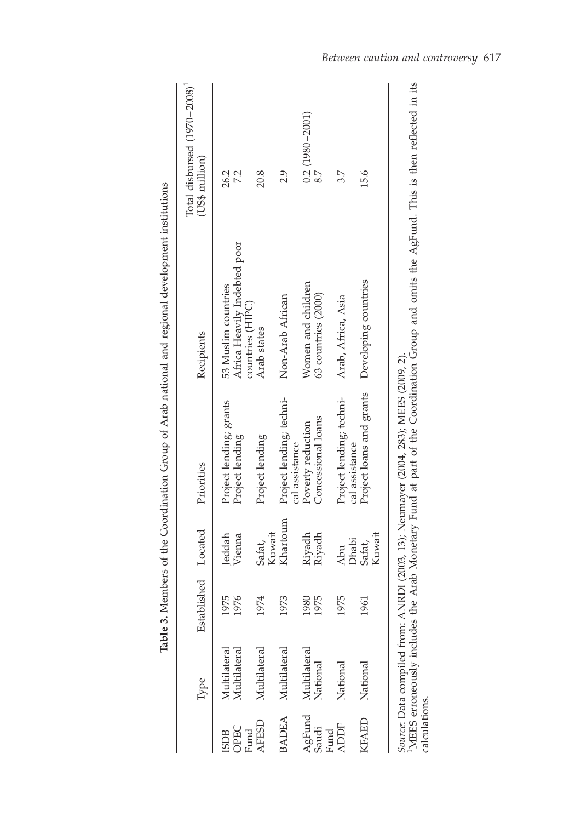|                             | Type                                       | Established Located |                  | Priorities                                                                          | Recipients                                                                                               | Total disbursed (1970-2008) <sup>1</sup><br>(US\$ million) |
|-----------------------------|--------------------------------------------|---------------------|------------------|-------------------------------------------------------------------------------------|----------------------------------------------------------------------------------------------------------|------------------------------------------------------------|
| OPEC<br>Fund<br><b>ISDB</b> | Multilateral<br>Multilateral               | 1975<br>1976        | leddah<br>Vienna | Project lending; grants<br>Project lending                                          | Africa Heavily Indebted poor<br>53 Muslim countries<br>countries (HIPC)                                  | 26.2<br>7.2                                                |
| <b>AFESD</b>                | Multilateral                               | 1974                | Kuwait<br>Safat, | Project lending                                                                     | Arab states                                                                                              | 20.8                                                       |
| BADEA                       | Multilateral                               | 1973                | Khartoum         | Project lending; techni-<br>cal assistance                                          | Non-Arab African                                                                                         | 2.9                                                        |
| AgFund                      | Multilateral                               | 1980                | Riyadh           | Poverty reduction                                                                   | Women and children                                                                                       | $0.2(1980 - 2001)$                                         |
| Saudi<br>Fund               | National                                   | 1975                | Riyadh           | Concessional loans                                                                  | 63 countries (2000)                                                                                      | 8.7                                                        |
| <b>ADDF</b>                 | National                                   | 1975                | Dhabi<br>Abu     | Project lending; techni-<br>cal assistance                                          | Arab, Africa, Asia                                                                                       | 3.7                                                        |
| KFAED                       | National                                   | 1961                | Kuwait<br>Safat, | Project loans and grants                                                            | Developing countries                                                                                     | 15.6                                                       |
| calculations.               | <sup>1</sup> MEES erroneously includes the |                     |                  | Source: Data compiled from: ANRDI (2003, 13); Neumayer (2004, 283); MEES (2009, 2). | Arab Monetary Fund at part of the Coordination Group and omits the AgFund. This is then reflected in its |                                                            |

| ֧֦֧֦֦֧֦֧֧֧֧֧֧֧֧֧֧֧֚֚֚֚֚֚֚֝֝֝֝֝֝֝֝֝֝֝֝֝֓֝֬֝֓֝֬֝֓֝֬֝֓֝֬֝֓֝֬֝֓֝<br>֧֧֧֧֧֧֧֧֧֧֧֧֧֧֧֧֧֚֚֚֚֝֝֝֬֝֝֝֬֜<br>֧֝<br>ï |
|-----------------------------------------------------------------------------------------------------------|
|                                                                                                           |
|                                                                                                           |
|                                                                                                           |
| $\frac{1}{2}$                                                                                             |
| .<br>'                                                                                                    |
|                                                                                                           |
|                                                                                                           |
|                                                                                                           |
|                                                                                                           |
|                                                                                                           |
|                                                                                                           |
| ì                                                                                                         |
| ١                                                                                                         |
| l                                                                                                         |
|                                                                                                           |
|                                                                                                           |
| į                                                                                                         |
|                                                                                                           |
|                                                                                                           |
|                                                                                                           |
|                                                                                                           |
|                                                                                                           |
| ֖֖֖֧֧֧֧ׅ֧֧ׅ֧֧֚֚֚֚֚֚֚֚֚֚֚֚֚֚֚֚֚֚֚֚֚֚֚֚֚֚֚֚֚֚֚֬֝֟֓֡֝֓֝֓֜֝֬֜֜֝                                               |
|                                                                                                           |
|                                                                                                           |
|                                                                                                           |
| l                                                                                                         |
|                                                                                                           |
| て こうらくさくさ てらら こうらくさうじょうき とうすご よう きこうぎ 一つられ                                                                |
|                                                                                                           |
|                                                                                                           |
|                                                                                                           |
|                                                                                                           |
|                                                                                                           |
|                                                                                                           |
| ノココ                                                                                                       |
|                                                                                                           |
|                                                                                                           |
|                                                                                                           |
|                                                                                                           |
| $\overline{ }$<br>$\ddot{\phantom{0}}$                                                                    |
|                                                                                                           |
|                                                                                                           |
| $T110$ 2<br>l                                                                                             |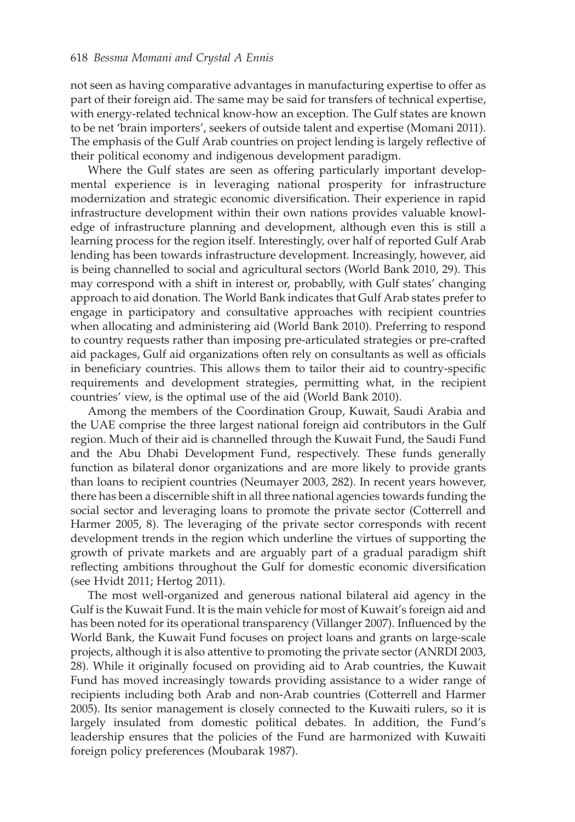#### 618 Bessma Momani and Crystal A Ennis

not seen as having comparative advantages in manufacturing expertise to offer as part of their foreign aid. The same may be said for transfers of technical expertise, with energy-related technical know-how an exception. The Gulf states are known to be net 'brain importers', seekers of outside talent and expertise (Momani 2011). The emphasis of the Gulf Arab countries on project lending is largely reflective of their political economy and indigenous development paradigm.

Where the Gulf states are seen as offering particularly important developmental experience is in leveraging national prosperity for infrastructure modernization and strategic economic diversification. Their experience in rapid infrastructure development within their own nations provides valuable knowledge of infrastructure planning and development, although even this is still a learning process for the region itself. Interestingly, over half of reported Gulf Arab lending has been towards infrastructure development. Increasingly, however, aid is being channelled to social and agricultural sectors (World Bank 2010, 29). This may correspond with a shift in interest or, probablly, with Gulf states' changing approach to aid donation. The World Bank indicates that Gulf Arab states prefer to engage in participatory and consultative approaches with recipient countries when allocating and administering aid (World Bank 2010). Preferring to respond to country requests rather than imposing pre-articulated strategies or pre-crafted aid packages, Gulf aid organizations often rely on consultants as well as officials in beneficiary countries. This allows them to tailor their aid to country-specific requirements and development strategies, permitting what, in the recipient countries' view, is the optimal use of the aid (World Bank 2010).

Among the members of the Coordination Group, Kuwait, Saudi Arabia and the UAE comprise the three largest national foreign aid contributors in the Gulf region. Much of their aid is channelled through the Kuwait Fund, the Saudi Fund and the Abu Dhabi Development Fund, respectively. These funds generally function as bilateral donor organizations and are more likely to provide grants than loans to recipient countries (Neumayer 2003, 282). In recent years however, there has been a discernible shift in all three national agencies towards funding the social sector and leveraging loans to promote the private sector (Cotterrell and Harmer 2005, 8). The leveraging of the private sector corresponds with recent development trends in the region which underline the virtues of supporting the growth of private markets and are arguably part of a gradual paradigm shift reflecting ambitions throughout the Gulf for domestic economic diversification (see Hvidt 2011; Hertog 2011).

The most well-organized and generous national bilateral aid agency in the Gulf is the Kuwait Fund. It is the main vehicle for most of Kuwait's foreign aid and has been noted for its operational transparency (Villanger 2007). Influenced by the World Bank, the Kuwait Fund focuses on project loans and grants on large-scale projects, although it is also attentive to promoting the private sector (ANRDI 2003, 28). While it originally focused on providing aid to Arab countries, the Kuwait Fund has moved increasingly towards providing assistance to a wider range of recipients including both Arab and non-Arab countries (Cotterrell and Harmer 2005). Its senior management is closely connected to the Kuwaiti rulers, so it is largely insulated from domestic political debates. In addition, the Fund's leadership ensures that the policies of the Fund are harmonized with Kuwaiti foreign policy preferences (Moubarak 1987).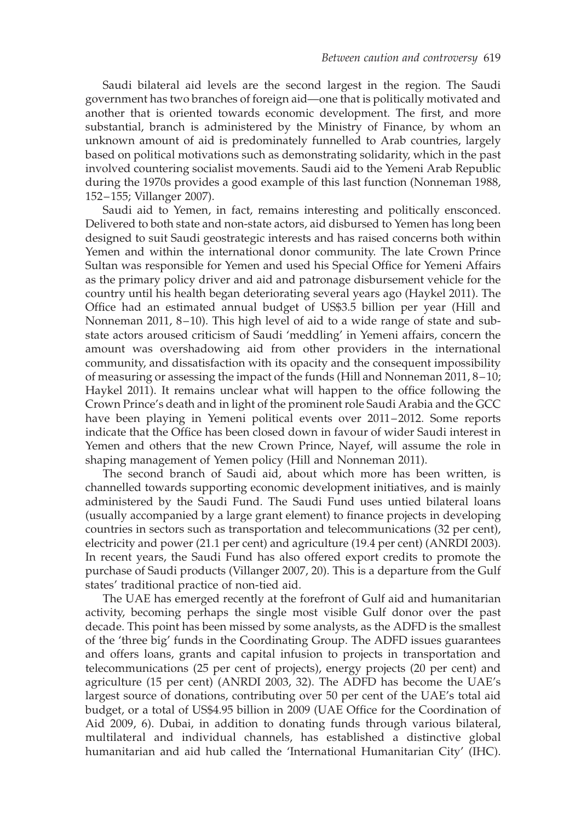Saudi bilateral aid levels are the second largest in the region. The Saudi government has two branches of foreign aid—one that is politically motivated and another that is oriented towards economic development. The first, and more substantial, branch is administered by the Ministry of Finance, by whom an unknown amount of aid is predominately funnelled to Arab countries, largely based on political motivations such as demonstrating solidarity, which in the past involved countering socialist movements. Saudi aid to the Yemeni Arab Republic during the 1970s provides a good example of this last function (Nonneman 1988, 152–155; Villanger 2007).

Saudi aid to Yemen, in fact, remains interesting and politically ensconced. Delivered to both state and non-state actors, aid disbursed to Yemen has long been designed to suit Saudi geostrategic interests and has raised concerns both within Yemen and within the international donor community. The late Crown Prince Sultan was responsible for Yemen and used his Special Office for Yemeni Affairs as the primary policy driver and aid and patronage disbursement vehicle for the country until his health began deteriorating several years ago (Haykel 2011). The Office had an estimated annual budget of US\$3.5 billion per year (Hill and Nonneman 2011, 8–10). This high level of aid to a wide range of state and substate actors aroused criticism of Saudi 'meddling' in Yemeni affairs, concern the amount was overshadowing aid from other providers in the international community, and dissatisfaction with its opacity and the consequent impossibility of measuring or assessing the impact of the funds (Hill and Nonneman 2011, 8–10; Haykel 2011). It remains unclear what will happen to the office following the Crown Prince's death and in light of the prominent role Saudi Arabia and the GCC have been playing in Yemeni political events over 2011–2012. Some reports indicate that the Office has been closed down in favour of wider Saudi interest in Yemen and others that the new Crown Prince, Nayef, will assume the role in shaping management of Yemen policy (Hill and Nonneman 2011).

The second branch of Saudi aid, about which more has been written, is channelled towards supporting economic development initiatives, and is mainly administered by the Saudi Fund. The Saudi Fund uses untied bilateral loans (usually accompanied by a large grant element) to finance projects in developing countries in sectors such as transportation and telecommunications (32 per cent), electricity and power (21.1 per cent) and agriculture (19.4 per cent) (ANRDI 2003). In recent years, the Saudi Fund has also offered export credits to promote the purchase of Saudi products (Villanger 2007, 20). This is a departure from the Gulf states' traditional practice of non-tied aid.

The UAE has emerged recently at the forefront of Gulf aid and humanitarian activity, becoming perhaps the single most visible Gulf donor over the past decade. This point has been missed by some analysts, as the ADFD is the smallest of the 'three big' funds in the Coordinating Group. The ADFD issues guarantees and offers loans, grants and capital infusion to projects in transportation and telecommunications (25 per cent of projects), energy projects (20 per cent) and agriculture (15 per cent) (ANRDI 2003, 32). The ADFD has become the UAE's largest source of donations, contributing over 50 per cent of the UAE's total aid budget, or a total of US\$4.95 billion in 2009 (UAE Office for the Coordination of Aid 2009, 6). Dubai, in addition to donating funds through various bilateral, multilateral and individual channels, has established a distinctive global humanitarian and aid hub called the 'International Humanitarian City' (IHC).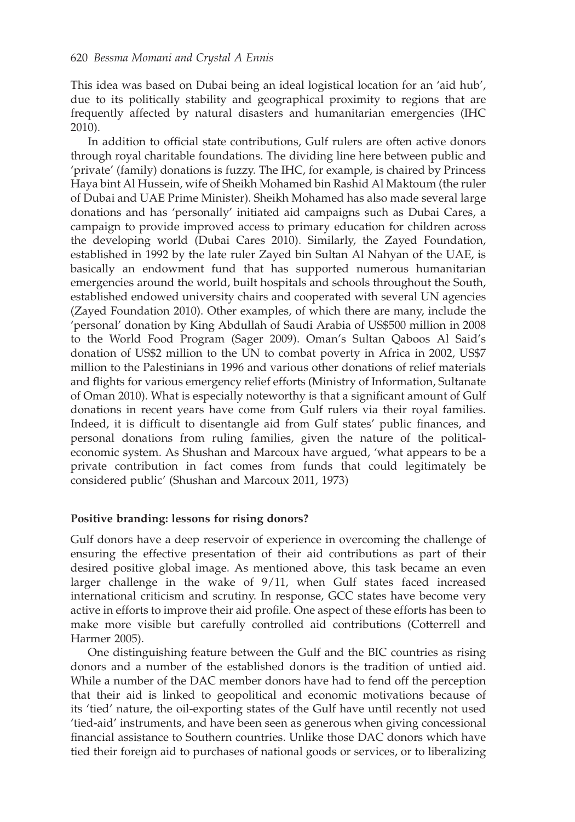This idea was based on Dubai being an ideal logistical location for an 'aid hub', due to its politically stability and geographical proximity to regions that are frequently affected by natural disasters and humanitarian emergencies (IHC 2010).

In addition to official state contributions, Gulf rulers are often active donors through royal charitable foundations. The dividing line here between public and 'private' (family) donations is fuzzy. The IHC, for example, is chaired by Princess Haya bint Al Hussein, wife of Sheikh Mohamed bin Rashid Al Maktoum (the ruler of Dubai and UAE Prime Minister). Sheikh Mohamed has also made several large donations and has 'personally' initiated aid campaigns such as Dubai Cares, a campaign to provide improved access to primary education for children across the developing world (Dubai Cares 2010). Similarly, the Zayed Foundation, established in 1992 by the late ruler Zayed bin Sultan Al Nahyan of the UAE, is basically an endowment fund that has supported numerous humanitarian emergencies around the world, built hospitals and schools throughout the South, established endowed university chairs and cooperated with several UN agencies (Zayed Foundation 2010). Other examples, of which there are many, include the 'personal' donation by King Abdullah of Saudi Arabia of US\$500 million in 2008 to the World Food Program (Sager 2009). Oman's Sultan Qaboos Al Said's donation of US\$2 million to the UN to combat poverty in Africa in 2002, US\$7 million to the Palestinians in 1996 and various other donations of relief materials and flights for various emergency relief efforts (Ministry of Information, Sultanate of Oman 2010). What is especially noteworthy is that a significant amount of Gulf donations in recent years have come from Gulf rulers via their royal families. Indeed, it is difficult to disentangle aid from Gulf states' public finances, and personal donations from ruling families, given the nature of the politicaleconomic system. As Shushan and Marcoux have argued, 'what appears to be a private contribution in fact comes from funds that could legitimately be considered public' (Shushan and Marcoux 2011, 1973)

# Positive branding: lessons for rising donors?

Gulf donors have a deep reservoir of experience in overcoming the challenge of ensuring the effective presentation of their aid contributions as part of their desired positive global image. As mentioned above, this task became an even larger challenge in the wake of 9/11, when Gulf states faced increased international criticism and scrutiny. In response, GCC states have become very active in efforts to improve their aid profile. One aspect of these efforts has been to make more visible but carefully controlled aid contributions (Cotterrell and Harmer 2005).

One distinguishing feature between the Gulf and the BIC countries as rising donors and a number of the established donors is the tradition of untied aid. While a number of the DAC member donors have had to fend off the perception that their aid is linked to geopolitical and economic motivations because of its 'tied' nature, the oil-exporting states of the Gulf have until recently not used 'tied-aid' instruments, and have been seen as generous when giving concessional financial assistance to Southern countries. Unlike those DAC donors which have tied their foreign aid to purchases of national goods or services, or to liberalizing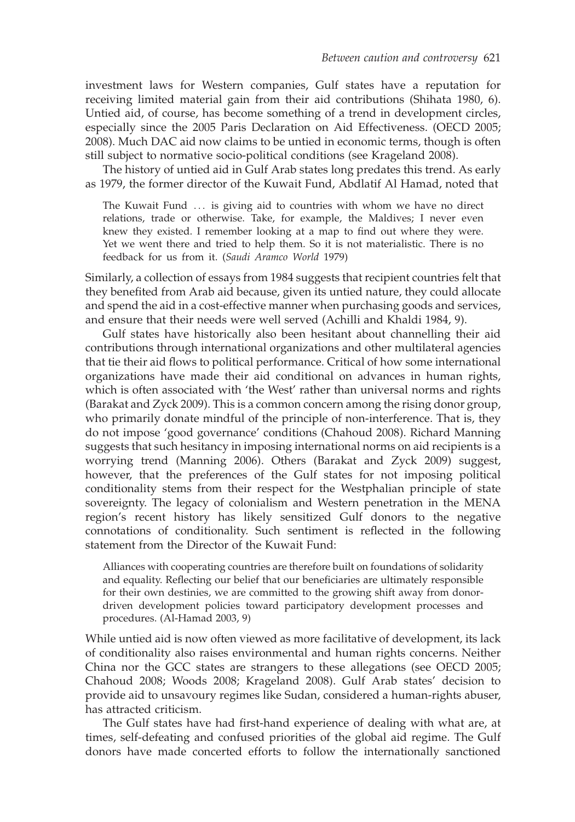investment laws for Western companies, Gulf states have a reputation for receiving limited material gain from their aid contributions (Shihata 1980, 6). Untied aid, of course, has become something of a trend in development circles, especially since the 2005 Paris Declaration on Aid Effectiveness. (OECD 2005; 2008). Much DAC aid now claims to be untied in economic terms, though is often still subject to normative socio-political conditions (see Krageland 2008).

The history of untied aid in Gulf Arab states long predates this trend. As early as 1979, the former director of the Kuwait Fund, Abdlatif Al Hamad, noted that

The Kuwait Fund ... is giving aid to countries with whom we have no direct relations, trade or otherwise. Take, for example, the Maldives; I never even knew they existed. I remember looking at a map to find out where they were. Yet we went there and tried to help them. So it is not materialistic. There is no feedback for us from it. (Saudi Aramco World 1979)

Similarly, a collection of essays from 1984 suggests that recipient countries felt that they benefited from Arab aid because, given its untied nature, they could allocate and spend the aid in a cost-effective manner when purchasing goods and services, and ensure that their needs were well served (Achilli and Khaldi 1984, 9).

Gulf states have historically also been hesitant about channelling their aid contributions through international organizations and other multilateral agencies that tie their aid flows to political performance. Critical of how some international organizations have made their aid conditional on advances in human rights, which is often associated with 'the West' rather than universal norms and rights (Barakat and Zyck 2009). This is a common concern among the rising donor group, who primarily donate mindful of the principle of non-interference. That is, they do not impose 'good governance' conditions (Chahoud 2008). Richard Manning suggests that such hesitancy in imposing international norms on aid recipients is a worrying trend (Manning 2006). Others (Barakat and Zyck 2009) suggest, however, that the preferences of the Gulf states for not imposing political conditionality stems from their respect for the Westphalian principle of state sovereignty. The legacy of colonialism and Western penetration in the MENA region's recent history has likely sensitized Gulf donors to the negative connotations of conditionality. Such sentiment is reflected in the following statement from the Director of the Kuwait Fund:

Alliances with cooperating countries are therefore built on foundations of solidarity and equality. Reflecting our belief that our beneficiaries are ultimately responsible for their own destinies, we are committed to the growing shift away from donordriven development policies toward participatory development processes and procedures. (Al-Hamad 2003, 9)

While untied aid is now often viewed as more facilitative of development, its lack of conditionality also raises environmental and human rights concerns. Neither China nor the GCC states are strangers to these allegations (see OECD 2005; Chahoud 2008; Woods 2008; Krageland 2008). Gulf Arab states' decision to provide aid to unsavoury regimes like Sudan, considered a human-rights abuser, has attracted criticism.

The Gulf states have had first-hand experience of dealing with what are, at times, self-defeating and confused priorities of the global aid regime. The Gulf donors have made concerted efforts to follow the internationally sanctioned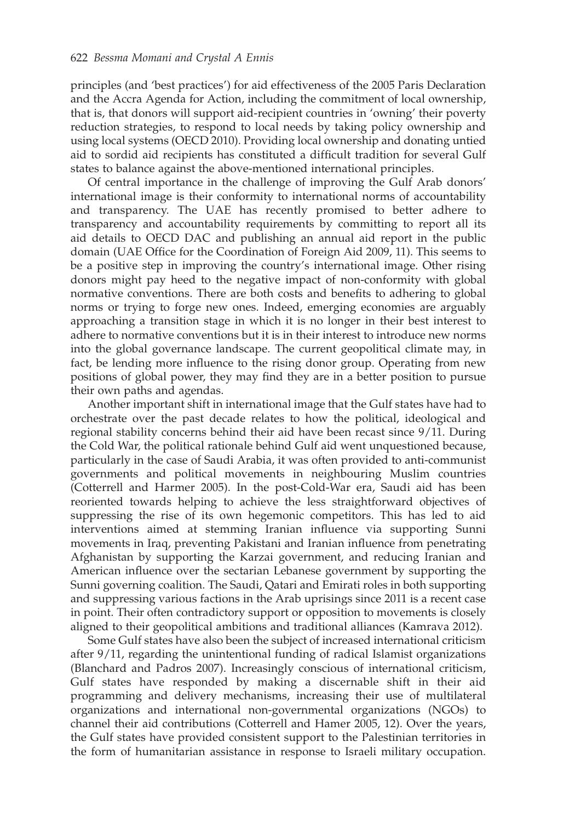principles (and 'best practices') for aid effectiveness of the 2005 Paris Declaration and the Accra Agenda for Action, including the commitment of local ownership, that is, that donors will support aid-recipient countries in 'owning' their poverty reduction strategies, to respond to local needs by taking policy ownership and using local systems (OECD 2010). Providing local ownership and donating untied aid to sordid aid recipients has constituted a difficult tradition for several Gulf states to balance against the above-mentioned international principles.

Of central importance in the challenge of improving the Gulf Arab donors' international image is their conformity to international norms of accountability and transparency. The UAE has recently promised to better adhere to transparency and accountability requirements by committing to report all its aid details to OECD DAC and publishing an annual aid report in the public domain (UAE Office for the Coordination of Foreign Aid 2009, 11). This seems to be a positive step in improving the country's international image. Other rising donors might pay heed to the negative impact of non-conformity with global normative conventions. There are both costs and benefits to adhering to global norms or trying to forge new ones. Indeed, emerging economies are arguably approaching a transition stage in which it is no longer in their best interest to adhere to normative conventions but it is in their interest to introduce new norms into the global governance landscape. The current geopolitical climate may, in fact, be lending more influence to the rising donor group. Operating from new positions of global power, they may find they are in a better position to pursue their own paths and agendas.

Another important shift in international image that the Gulf states have had to orchestrate over the past decade relates to how the political, ideological and regional stability concerns behind their aid have been recast since 9/11. During the Cold War, the political rationale behind Gulf aid went unquestioned because, particularly in the case of Saudi Arabia, it was often provided to anti-communist governments and political movements in neighbouring Muslim countries (Cotterrell and Harmer 2005). In the post-Cold-War era, Saudi aid has been reoriented towards helping to achieve the less straightforward objectives of suppressing the rise of its own hegemonic competitors. This has led to aid interventions aimed at stemming Iranian influence via supporting Sunni movements in Iraq, preventing Pakistani and Iranian influence from penetrating Afghanistan by supporting the Karzai government, and reducing Iranian and American influence over the sectarian Lebanese government by supporting the Sunni governing coalition. The Saudi, Qatari and Emirati roles in both supporting and suppressing various factions in the Arab uprisings since 2011 is a recent case in point. Their often contradictory support or opposition to movements is closely aligned to their geopolitical ambitions and traditional alliances (Kamrava 2012).

Some Gulf states have also been the subject of increased international criticism after 9/11, regarding the unintentional funding of radical Islamist organizations (Blanchard and Padros 2007). Increasingly conscious of international criticism, Gulf states have responded by making a discernable shift in their aid programming and delivery mechanisms, increasing their use of multilateral organizations and international non-governmental organizations (NGOs) to channel their aid contributions (Cotterrell and Hamer 2005, 12). Over the years, the Gulf states have provided consistent support to the Palestinian territories in the form of humanitarian assistance in response to Israeli military occupation.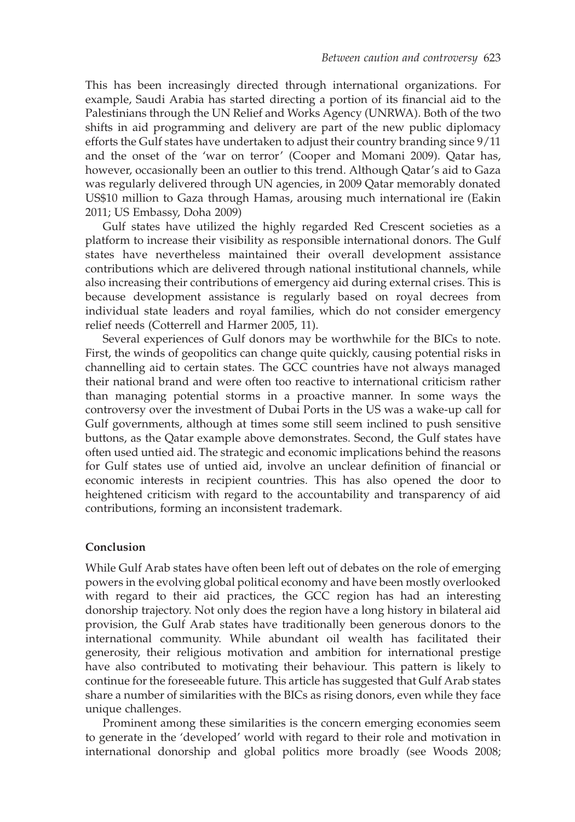This has been increasingly directed through international organizations. For example, Saudi Arabia has started directing a portion of its financial aid to the Palestinians through the UN Relief and Works Agency (UNRWA). Both of the two shifts in aid programming and delivery are part of the new public diplomacy efforts the Gulf states have undertaken to adjust their country branding since 9/11 and the onset of the 'war on terror' (Cooper and Momani 2009). Qatar has, however, occasionally been an outlier to this trend. Although Qatar's aid to Gaza was regularly delivered through UN agencies, in 2009 Qatar memorably donated US\$10 million to Gaza through Hamas, arousing much international ire (Eakin 2011; US Embassy, Doha 2009)

Gulf states have utilized the highly regarded Red Crescent societies as a platform to increase their visibility as responsible international donors. The Gulf states have nevertheless maintained their overall development assistance contributions which are delivered through national institutional channels, while also increasing their contributions of emergency aid during external crises. This is because development assistance is regularly based on royal decrees from individual state leaders and royal families, which do not consider emergency relief needs (Cotterrell and Harmer 2005, 11).

Several experiences of Gulf donors may be worthwhile for the BICs to note. First, the winds of geopolitics can change quite quickly, causing potential risks in channelling aid to certain states. The GCC countries have not always managed their national brand and were often too reactive to international criticism rather than managing potential storms in a proactive manner. In some ways the controversy over the investment of Dubai Ports in the US was a wake-up call for Gulf governments, although at times some still seem inclined to push sensitive buttons, as the Qatar example above demonstrates. Second, the Gulf states have often used untied aid. The strategic and economic implications behind the reasons for Gulf states use of untied aid, involve an unclear definition of financial or economic interests in recipient countries. This has also opened the door to heightened criticism with regard to the accountability and transparency of aid contributions, forming an inconsistent trademark.

# Conclusion

While Gulf Arab states have often been left out of debates on the role of emerging powers in the evolving global political economy and have been mostly overlooked with regard to their aid practices, the GCC region has had an interesting donorship trajectory. Not only does the region have a long history in bilateral aid provision, the Gulf Arab states have traditionally been generous donors to the international community. While abundant oil wealth has facilitated their generosity, their religious motivation and ambition for international prestige have also contributed to motivating their behaviour. This pattern is likely to continue for the foreseeable future. This article has suggested that Gulf Arab states share a number of similarities with the BICs as rising donors, even while they face unique challenges.

Prominent among these similarities is the concern emerging economies seem to generate in the 'developed' world with regard to their role and motivation in international donorship and global politics more broadly (see Woods 2008;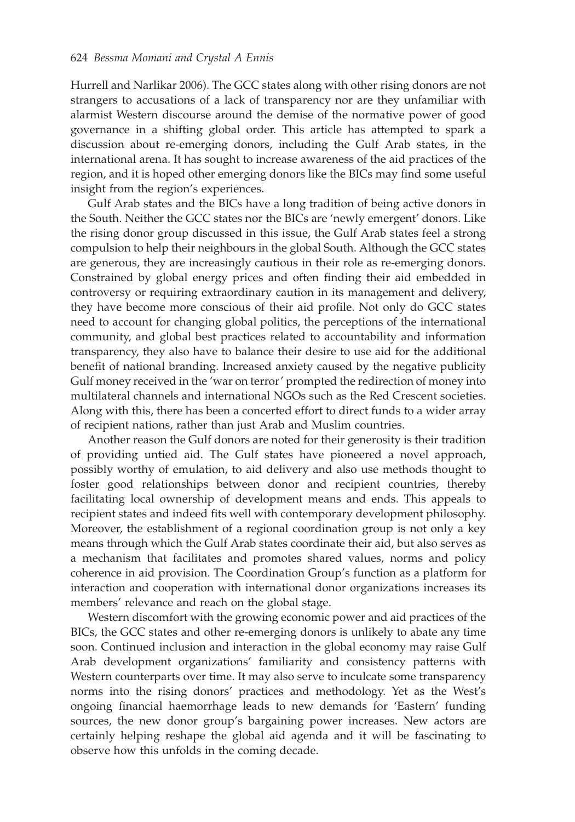Hurrell and Narlikar 2006). The GCC states along with other rising donors are not strangers to accusations of a lack of transparency nor are they unfamiliar with alarmist Western discourse around the demise of the normative power of good governance in a shifting global order. This article has attempted to spark a discussion about re-emerging donors, including the Gulf Arab states, in the international arena. It has sought to increase awareness of the aid practices of the region, and it is hoped other emerging donors like the BICs may find some useful insight from the region's experiences.

Gulf Arab states and the BICs have a long tradition of being active donors in the South. Neither the GCC states nor the BICs are 'newly emergent' donors. Like the rising donor group discussed in this issue, the Gulf Arab states feel a strong compulsion to help their neighbours in the global South. Although the GCC states are generous, they are increasingly cautious in their role as re-emerging donors. Constrained by global energy prices and often finding their aid embedded in controversy or requiring extraordinary caution in its management and delivery, they have become more conscious of their aid profile. Not only do GCC states need to account for changing global politics, the perceptions of the international community, and global best practices related to accountability and information transparency, they also have to balance their desire to use aid for the additional benefit of national branding. Increased anxiety caused by the negative publicity Gulf money received in the 'war on terror' prompted the redirection of money into multilateral channels and international NGOs such as the Red Crescent societies. Along with this, there has been a concerted effort to direct funds to a wider array of recipient nations, rather than just Arab and Muslim countries.

Another reason the Gulf donors are noted for their generosity is their tradition of providing untied aid. The Gulf states have pioneered a novel approach, possibly worthy of emulation, to aid delivery and also use methods thought to foster good relationships between donor and recipient countries, thereby facilitating local ownership of development means and ends. This appeals to recipient states and indeed fits well with contemporary development philosophy. Moreover, the establishment of a regional coordination group is not only a key means through which the Gulf Arab states coordinate their aid, but also serves as a mechanism that facilitates and promotes shared values, norms and policy coherence in aid provision. The Coordination Group's function as a platform for interaction and cooperation with international donor organizations increases its members' relevance and reach on the global stage.

Western discomfort with the growing economic power and aid practices of the BICs, the GCC states and other re-emerging donors is unlikely to abate any time soon. Continued inclusion and interaction in the global economy may raise Gulf Arab development organizations' familiarity and consistency patterns with Western counterparts over time. It may also serve to inculcate some transparency norms into the rising donors' practices and methodology. Yet as the West's ongoing financial haemorrhage leads to new demands for 'Eastern' funding sources, the new donor group's bargaining power increases. New actors are certainly helping reshape the global aid agenda and it will be fascinating to observe how this unfolds in the coming decade.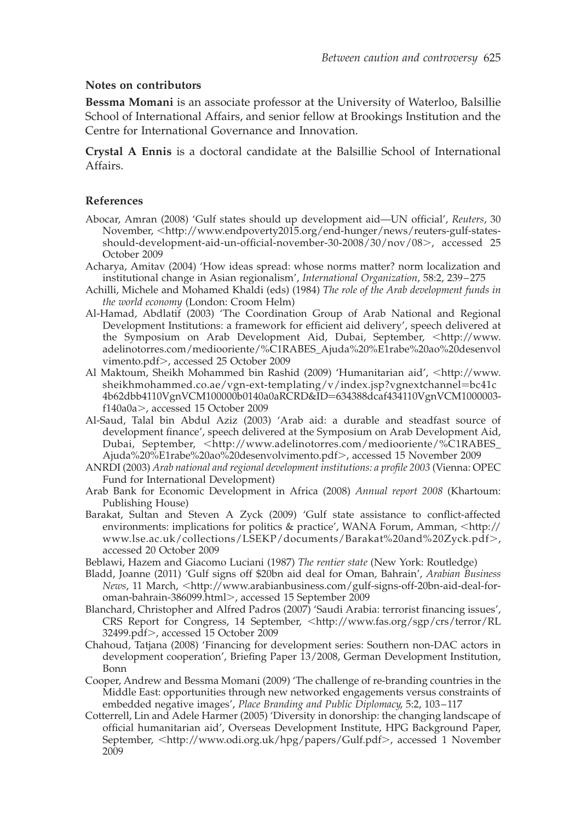## Notes on contributors

Bessma Momani is an associate professor at the University of Waterloo, Balsillie School of International Affairs, and senior fellow at Brookings Institution and the Centre for International Governance and Innovation.

Crystal A Ennis is a doctoral candidate at the Balsillie School of International Affairs.

# References

- Abocar, Amran (2008) 'Gulf states should up development aid—UN official', Reuters, 30 November, <[http://www.endpoverty2015.org/end-hunger/news/reuters-gulf-states](http://www.endpoverty2015.org/end-hunger/news/reuters-gulf-states-should-development-aid-un-official-november-30-2008/30/nov/08)[should-development-aid-un-official-november-30-2008/30/nov/08](http://www.endpoverty2015.org/end-hunger/news/reuters-gulf-states-should-development-aid-un-official-november-30-2008/30/nov/08)>, accessed 25 October 2009
- Acharya, Amitav (2004) 'How ideas spread: whose norms matter? norm localization and institutional change in Asian regionalism', International Organization, 58:2, 239–275
- Achilli, Michele and Mohamed Khaldi (eds) (1984) The role of the Arab development funds in the world economy (London: Croom Helm)
- Al-Hamad, Abdlatif (2003) 'The Coordination Group of Arab National and Regional Development Institutions: a framework for efficient aid delivery', speech delivered at the Symposium on Arab Development Aid, Dubai, September, <[http://www.](http://www.adelinotorres.com/mediooriente/%C1RABES_Ajuda%20%E1rabe%20ao%20desenvolvimento.pdf) [adelinotorres.com/mediooriente/%C1RABES\\_Ajuda%20%E1rabe%20ao%20desenvol](http://www.adelinotorres.com/mediooriente/%C1RABES_Ajuda%20%E1rabe%20ao%20desenvolvimento.pdf) [vimento.pdf](http://www.adelinotorres.com/mediooriente/%C1RABES_Ajuda%20%E1rabe%20ao%20desenvolvimento.pdf)>, accessed 25 October 2009
- Al Maktoum, Sheikh Mohammed bin Rashid (2009) 'Humanitarian aid', <[http://www.](http://www.sheikhmohammed.co.ae/vgn-ext-templating/v/index.jsp?vgnextchannel=bc41c4b62dbb4110VgnVCM100000b0140a0aRCRD&ID=634388dcaf434110VgnVCM1000003f140a0a) [sheikhmohammed.co.ae/vgn-ext-templating/v/index.jsp?vgnextchannel](http://www.sheikhmohammed.co.ae/vgn-ext-templating/v/index.jsp?vgnextchannel=bc41c4b62dbb4110VgnVCM100000b0140a0aRCRD&ID=634388dcaf434110VgnVCM1000003f140a0a)=bc41c [4b62dbb4110VgnVCM100000b0140a0aRCRD&ID](http://www.sheikhmohammed.co.ae/vgn-ext-templating/v/index.jsp?vgnextchannel=bc41c4b62dbb4110VgnVCM100000b0140a0aRCRD&ID=634388dcaf434110VgnVCM1000003f140a0a)=634388dcaf434110VgnVCM1000003[f140a0a](http://www.sheikhmohammed.co.ae/vgn-ext-templating/v/index.jsp?vgnextchannel=bc41c4b62dbb4110VgnVCM100000b0140a0aRCRD&ID=634388dcaf434110VgnVCM1000003f140a0a)>, accessed 15 October 2009
- Al-Saud, Talal bin Abdul Aziz (2003) 'Arab aid: a durable and steadfast source of development finance', speech delivered at the Symposium on Arab Development Aid, Dubai, September, <http://www.adelinotorres.com/mediooriente/%C1RABES [Ajuda%20%E1rabe%20ao%20desenvolvimento.pdf](http://www.adelinotorres.com/mediooriente/%C1RABES_Ajuda%20%E1rabe%20ao%20desenvolvimento.pdf)., accessed 15 November 2009
- ANRDI (2003) Arab national and regional development institutions: a profile 2003 (Vienna: OPEC Fund for International Development)
- Arab Bank for Economic Development in Africa (2008) Annual report 2008 (Khartoum: Publishing House)
- Barakat, Sultan and Steven A Zyck (2009) 'Gulf state assistance to conflict-affected environments: implications for politics & practice', WANA Forum, Amman,  $\langle$ [http://](http://www.lse.ac.uk/collections/LSEKP/documents/Barakat%20and%20Zyck.pdf) [www.lse.ac.uk/collections/LSEKP/documents/Barakat%20and%20Zyck.pdf](http://www.lse.ac.uk/collections/LSEKP/documents/Barakat%20and%20Zyck.pdf)., accessed 20 October 2009
- Beblawi, Hazem and Giacomo Luciani (1987) The rentier state (New York: Routledge)
- Bladd, Joanne (2011) 'Gulf signs off \$20bn aid deal for Oman, Bahrain', Arabian Business News, 11 March, <[http://www.arabianbusiness.com/gulf-signs-off-20bn-aid-deal-for](http://www.arabianbusiness.com/gulf-signs-off-20bn-aid-deal-for-oman-bahrain-386099.html)[oman-bahrain-386099.html](http://www.arabianbusiness.com/gulf-signs-off-20bn-aid-deal-for-oman-bahrain-386099.html)>, accessed 15 September 2009
- Blanchard, Christopher and Alfred Padros (2007) 'Saudi Arabia: terrorist financing issues', CRS Report for Congress, 14 September, <[http://www.fas.org/sgp/crs/terror/RL](http://www.fas.org/sgp/crs/terror/RL32499.pdf) [32499.pdf](http://www.fas.org/sgp/crs/terror/RL32499.pdf)., accessed 15 October 2009
- Chahoud, Tatjana (2008) 'Financing for development series: Southern non-DAC actors in development cooperation', Briefing Paper 13/2008, German Development Institution, Bonn
- Cooper, Andrew and Bessma Momani (2009) 'The challenge of re-branding countries in the Middle East: opportunities through new networked engagements versus constraints of embedded negative images', Place Branding and Public Diplomacy, 5:2, 103–117
- Cotterrell, Lin and Adele Harmer (2005) 'Diversity in donorship: the changing landscape of official humanitarian aid', Overseas Development Institute, HPG Background Paper, September, <<http://www.odi.org.uk/hpg/papers/Gulf.pdf>>, accessed 1 November 2009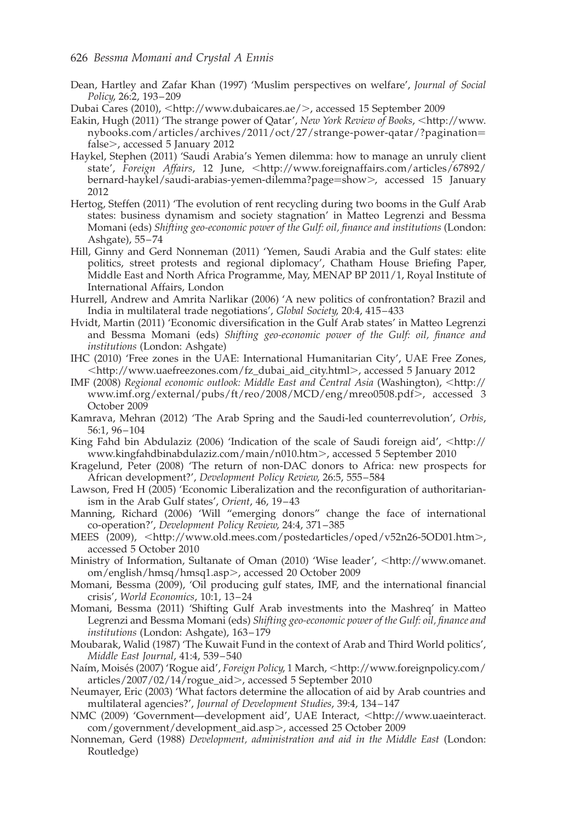#### 626 Bessma Momani and Crystal A Ennis

- Dean, Hartley and Zafar Khan (1997) 'Muslim perspectives on welfare', Journal of Social Policy, 26:2, 193–209
- Dubai Cares (2010), <<http://www.dubaicares.ae/>>, accessed 15 September 2009
- Eakin, Hugh (2011) 'The strange power of Qatar', New York Review of Books, <[http://www.](http://www.nybooks.com/articles/archives/2011/oct/27/strange-power-qatar/?pagination=false) [nybooks.com/articles/archives/2011/oct/27/strange-power-qatar/?pagination](http://www.nybooks.com/articles/archives/2011/oct/27/strange-power-qatar/?pagination=false)= [false](http://www.nybooks.com/articles/archives/2011/oct/27/strange-power-qatar/?pagination=false)>, accessed 5 January 2012
- Haykel, Stephen (2011) 'Saudi Arabia's Yemen dilemma: how to manage an unruly client state', Foreign Affairs, 12 June, <[http://www.foreignaffairs.com/articles/67892/](http://www.foreignaffairs.com/articles/67892/bernard-haykel/saudi-arabias-yemen-dilemma?page=show) [bernard-haykel/saudi-arabias-yemen-dilemma?page](http://www.foreignaffairs.com/articles/67892/bernard-haykel/saudi-arabias-yemen-dilemma?page=show)=show>, accessed 15 January 2012
- Hertog, Steffen (2011) 'The evolution of rent recycling during two booms in the Gulf Arab states: business dynamism and society stagnation' in Matteo Legrenzi and Bessma Momani (eds) Shifting geo-economic power of the Gulf: oil, finance and institutions (London: Ashgate), 55–74
- Hill, Ginny and Gerd Nonneman (2011) 'Yemen, Saudi Arabia and the Gulf states: elite politics, street protests and regional diplomacy', Chatham House Briefing Paper, Middle East and North Africa Programme, May, MENAP BP 2011/1, Royal Institute of International Affairs, London
- Hurrell, Andrew and Amrita Narlikar (2006) 'A new politics of confrontation? Brazil and India in multilateral trade negotiations', Global Society, 20:4, 415–433
- Hvidt, Martin (2011) 'Economic diversification in the Gulf Arab states' in Matteo Legrenzi and Bessma Momani (eds) Shifting geo-economic power of the Gulf: oil, finance and institutions (London: Ashgate)
- IHC (2010) 'Free zones in the UAE: International Humanitarian City', UAE Free Zones, ,[http://www.uaefreezones.com/fz\\_dubai\\_aid\\_city.html](http://www.uaefreezones.com/fz_dubai_aid_city.html)., accessed 5 January 2012
- IMF (2008) Regional economic outlook: Middle East and Central Asia (Washington), <[http://](http://www.imf.org/external/pubs/ft/reo/2008/MCD/eng/mreo0508.pdf) [www.imf.org/external/pubs/ft/reo/2008/MCD/eng/mreo0508.pdf](http://www.imf.org/external/pubs/ft/reo/2008/MCD/eng/mreo0508.pdf)., accessed 3 October 2009
- Kamrava, Mehran (2012) 'The Arab Spring and the Saudi-led counterrevolution', Orbis, 56:1, 96–104
- King Fahd bin Abdulaziz (2006) 'Indication of the scale of Saudi foreign aid',  $\langle$ [http://](http://www.kingfahdbinabdulaziz.com/main/n010.htm) [www.kingfahdbinabdulaziz.com/main/n010.htm](http://www.kingfahdbinabdulaziz.com/main/n010.htm)>, accessed 5 September 2010
- Kragelund, Peter (2008) 'The return of non-DAC donors to Africa: new prospects for African development?', Development Policy Review, 26:5, 555–584
- Lawson, Fred H (2005) 'Economic Liberalization and the reconfiguration of authoritarianism in the Arab Gulf states', Orient, 46, 19–43
- Manning, Richard (2006) 'Will "emerging donors" change the face of international co-operation?', Development Policy Review, 24:4, 371–385
- MEES  $(2009)$ ,  $\lt$ <http://www.old.mees.com/postedarticles/oped/v52n26-5OD01.htm>>, accessed 5 October 2010
- Ministry of Information, Sultanate of Oman (2010) 'Wise leader', <[http://www.omanet.](http://www.omanet.om/english/hmsq/hmsq1.asp) [om/english/hmsq/hmsq1.asp](http://www.omanet.om/english/hmsq/hmsq1.asp)>, accessed 20 October 2009
- Momani, Bessma (2009), 'Oil producing gulf states, IMF, and the international financial crisis', World Economics, 10:1, 13–24
- Momani, Bessma (2011) 'Shifting Gulf Arab investments into the Mashreq' in Matteo Legrenzi and Bessma Momani (eds) Shifting geo-economic power of the Gulf: oil, finance and institutions (London: Ashgate), 163–179
- Moubarak, Walid (1987) 'The Kuwait Fund in the context of Arab and Third World politics', Middle East Journal, 41:4, 539–540
- Naím, Moisés (2007) 'Rogue aid', Foreign Policy, 1 March, <[http://www.foreignpolicy.com/](http://www.foreignpolicy.com/articles/2007/02/14/rogue_aid) [articles/2007/02/14/rogue\\_aid](http://www.foreignpolicy.com/articles/2007/02/14/rogue_aid)>, accessed 5 September 2010
- Neumayer, Eric (2003) 'What factors determine the allocation of aid by Arab countries and multilateral agencies?', Journal of Development Studies, 39:4, 134–147
- NMC (2009) 'Government-development aid', UAE Interact, <[http://www.uaeinteract.](http://www.uaeinteract.com/government/development_aid.asp) [com/government/development\\_aid.asp](http://www.uaeinteract.com/government/development_aid.asp)., accessed 25 October 2009
- Nonneman, Gerd (1988) Development, administration and aid in the Middle East (London: Routledge)